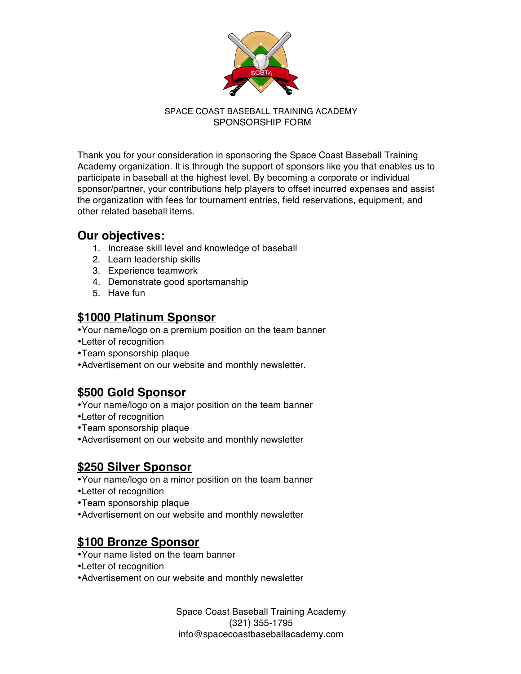

### SPACE COAST BASEBALL TRAINING ACADEMY SPONSORSHIP FORM

Thank you for your consideration in sponsoring the Space Coast Baseball Training Academy organization. It is through the support of sponsors like you that enables us to participate in baseball at the highest level. By becoming a corporate or individual sponsor/partner, your contributions help players to offset incurred expenses and assist the organization with fees for tournament entries, field reservations, equipment, and other related baseball items.

## **Our objectives:**

- 1. Increase skill level and knowledge of baseball
- 2. Learn leadership skills
- 3. Experience teamwork
- 4. Demonstrate good sportsmanship
- 5. Have fun

### **\$1000 Platinum Sponsor**

•Your name/logo on a premium position on the team banner

- •Letter of recognition
- •Team sponsorship plaque
- •Advertisement on our website and monthly newsletter.

# **\$500 Gold Sponsor**

- •Your name/logo on a major position on the team banner
- •Letter of recognition
- •Team sponsorship plaque
- •Advertisement on our website and monthly newsletter

## **\$250 Silver Sponsor**

- •Your name/logo on a minor position on the team banner
- •Letter of recognition
- •Team sponsorship plaque
- •Advertisement on our website and monthly newsletter

## **\$100 Bronze Sponsor**

- •Your name listed on the team banner
- •Letter of recognition
- •Advertisement on our website and monthly newsletter

Space Coast Baseball Training Academy (321) 355-1795 info@spacecoastbaseballacademy.com